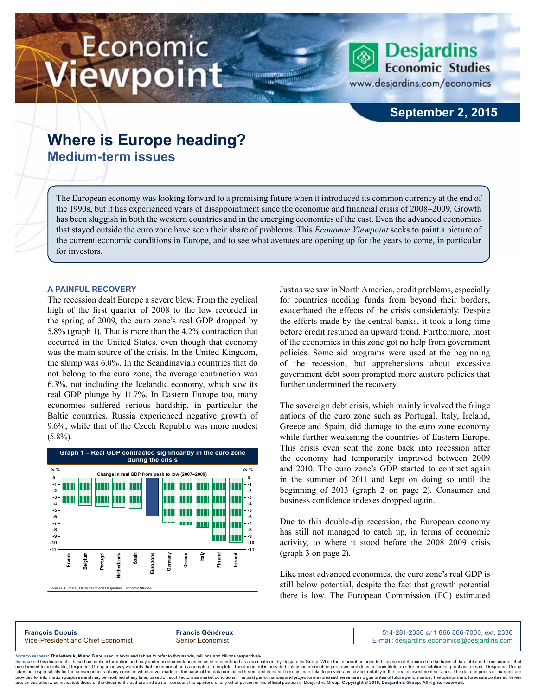# Economic ewpoint

**Desjardins Economic Studies** 

www.desjardins.com/economics

# **September 2, 2015**

# **Where is Europe heading? Medium-term issues**

The European economy was looking forward to a promising future when it introduced its common currency at the end of the 1990s, but it has experienced years of disappointment since the economic and financial crisis of 2008–2009. Growth has been sluggish in both the western countries and in the emerging economies of the east. Even the advanced economies that stayed outside the euro zone have seen their share of problems. This *Economic Viewpoint* seeks to paint a picture of the current economic conditions in Europe, and to see what avenues are opening up for the years to come, in particular for investors.

# **A painful recovery**

The recession dealt Europe a severe blow. From the cyclical high of the first quarter of 2008 to the low recorded in the spring of 2009, the euro zone's real GDP dropped by 5.8% (graph 1). That is more than the 4.2% contraction that occurred in the United States, even though that economy was the main source of the crisis. In the United Kingdom, the slump was 6.0%. In the Scandinavian countries that do not belong to the euro zone, the average contraction was 6.3%, not including the Icelandic economy, which saw its real GDP plunge by 11.7%. In Eastern Europe too, many economies suffered serious hardship, in particular the Baltic countries. Russia experienced negative growth of 9.6%, while that of the Czech Republic was more modest  $(5.8\%)$ .



Just as we saw in North America, credit problems, especially for countries needing funds from beyond their borders, exacerbated the effects of the crisis considerably. Despite the efforts made by the central banks, it took a long time before credit resumed an upward trend. Furthermore, most of the economies in this zone got no help from government policies. Some aid programs were used at the beginning of the recession, but apprehensions about excessive government debt soon prompted more austere policies that further undermined the recovery.

The sovereign debt crisis, which mainly involved the fringe nations of the euro zone such as Portugal, Italy, Ireland, Greece and Spain, did damage to the euro zone economy while further weakening the countries of Eastern Europe. This crisis even sent the zone back into recession after the economy had temporarily improved between 2009 and 2010. The euro zone's GDP started to contract again in the summer of 2011 and kept on doing so until the beginning of 2013 (graph 2 on page 2). Consumer and business confidence indexes dropped again.

Due to this double-dip recession, the European economy has still not managed to catch up, in terms of economic activity, to where it stood before the 2008–2009 crisis (graph 3 on page 2).

Like most advanced economies, the euro zone's real GDP is still below potential, despite the fact that growth potential there is low. The European Commission (EC) estimated

**François Dupuis Francis Généreux** 514-281-2336 *or* 1 866 866-7000, ext. 2336 Vice-President and Chief Economist Senior Economist Senior Economist E-mail: desjardins.economics@desjardins.com

Noте то келоекs: The letters **k, M** and **B** are used in texts and tables to refer to thousands, millions and billions respectively.<br>Імроктлит: This document is based on public information and may under no circumstances be are deemed to be reliable. Desiardins Group in no way warrants that the information is accurate or complete. The document is provided solely for information purposes and does not constitute an offer or solicitation for pur takes no responsibility for the consequences of any decision whatsoever made on the basis of the data contained herein and does not hereby undertake to provide any advice, notably in the area of investment services. The da .<br>are, unless otherwise indicated, those of the document's authors and do not represent the opinions of any other person or the official position of Desjardins Group. Copyright © 2015, Desjardins Group. All rights reserved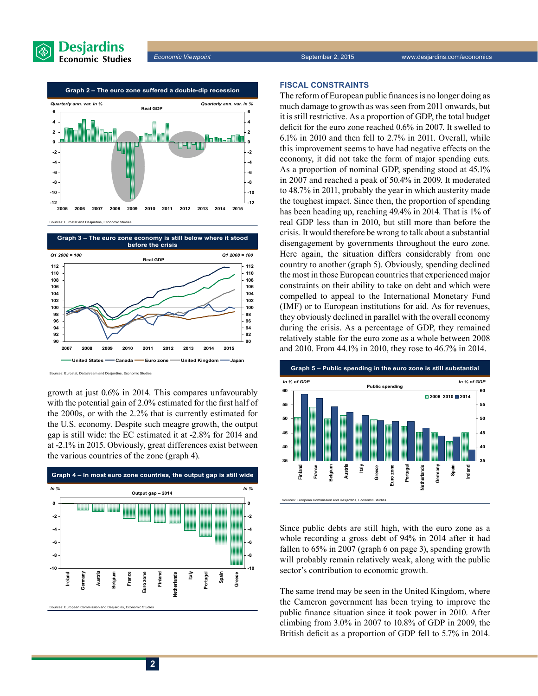



Sources: Eurostat and Desjardins, Economic Studies



growth at just 0.6% in 2014. This compares unfavourably with the potential gain of 2.0% estimated for the first half of the 2000s, or with the 2.2% that is currently estimated for the U.S. economy. Despite such meagre growth, the output gap is still wide: the EC estimated it at -2.8% for 2014 and at -2.1% in 2015. Obviously, great differences exist between the various countries of the zone (graph 4).



## **Fiscal constraints**

The reform of European public finances is no longer doing as much damage to growth as was seen from 2011 onwards, but it is still restrictive. As a proportion of GDP, the total budget deficit for the euro zone reached 0.6% in 2007. It swelled to 6.1% in 2010 and then fell to 2.7% in 2011. Overall, while this improvement seems to have had negative effects on the economy, it did not take the form of major spending cuts. As a proportion of nominal GDP, spending stood at 45.1% in 2007 and reached a peak of 50.4% in 2009. It moderated to 48.7% in 2011, probably the year in which austerity made the toughest impact. Since then, the proportion of spending has been heading up, reaching 49.4% in 2014. That is 1% of real GDP less than in 2010, but still more than before the crisis. It would therefore be wrong to talk about a substantial disengagement by governments throughout the euro zone. Here again, the situation differs considerably from one country to another (graph 5). Obviously, spending declined the most in those European countries that experienced major constraints on their ability to take on debt and which were compelled to appeal to the International Monetary Fund (IMF) or to European institutions for aid. As for revenues, they obviously declined in parallel with the overall economy during the crisis. As a percentage of GDP, they remained relatively stable for the euro zone as a whole between 2008 and 2010. From 44.1% in 2010, they rose to 46.7% in 2014.



Since public debts are still high, with the euro zone as a whole recording a gross debt of 94% in 2014 after it had fallen to 65% in 2007 (graph 6 on page 3), spending growth will probably remain relatively weak, along with the public sector's contribution to economic growth.

The same trend may be seen in the United Kingdom, where the Cameron government has been trying to improve the public finance situation since it took power in 2010. After climbing from 3.0% in 2007 to 10.8% of GDP in 2009, the British deficit as a proportion of GDP fell to 5.7% in 2014.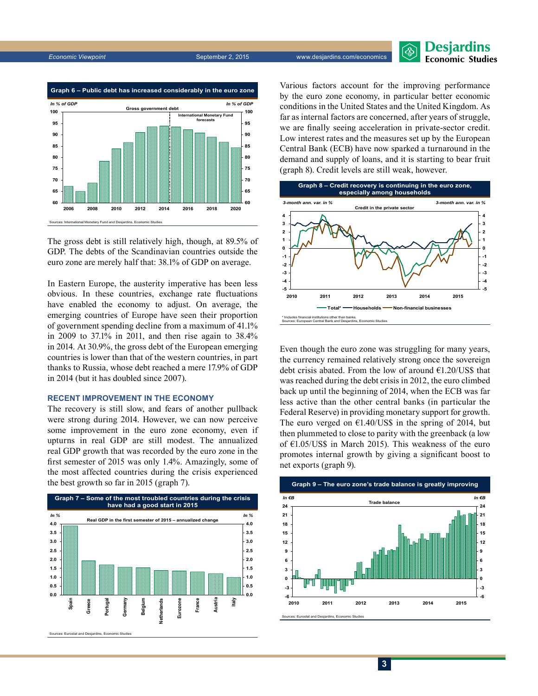

The gross debt is still relatively high, though, at 89.5% of GDP. The debts of the Scandinavian countries outside the euro zone are merely half that: 38.1% of GDP on average.

In Eastern Europe, the austerity imperative has been less obvious. In these countries, exchange rate fluctuations have enabled the economy to adjust. On average, the emerging countries of Europe have seen their proportion of government spending decline from a maximum of 41.1% in 2009 to 37.1% in 2011, and then rise again to 38.4% in 2014. At 30.9%, the gross debt of the European emerging countries is lower than that of the western countries, in part thanks to Russia, whose debt reached a mere 17.9% of GDP in 2014 (but it has doubled since 2007).

#### **Recent improvement in the economy**

The recovery is still slow, and fears of another pullback were strong during 2014. However, we can now perceive some improvement in the euro zone economy, even if upturns in real GDP are still modest. The annualized real GDP growth that was recorded by the euro zone in the first semester of 2015 was only 1.4%. Amazingly, some of the most affected countries during the crisis experienced the best growth so far in 2015 (graph 7).



Various factors account for the improving performance by the euro zone economy, in particular better economic conditions in the United States and the United Kingdom. As far as internal factors are concerned, after years of struggle, we are finally seeing acceleration in private-sector credit. Low interest rates and the measures set up by the European Central Bank (ECB) have now sparked a turnaround in the demand and supply of loans, and it is starting to bear fruit (graph 8). Credit levels are still weak, however.



Even though the euro zone was struggling for many years, the currency remained relatively strong once the sovereign debt crisis abated. From the low of around  $E1.20/US\$  that was reached during the debt crisis in 2012, the euro climbed back up until the beginning of 2014, when the ECB was far less active than the other central banks (in particular the Federal Reserve) in providing monetary support for growth. The euro verged on  $\epsilon$ 1.40/US\$ in the spring of 2014, but then plummeted to close to parity with the greenback (a low of €1.05/US\$ in March 2015). This weakness of the euro promotes internal growth by giving a significant boost to net exports (graph 9).



**Desjardins Economic Studies** 

**3**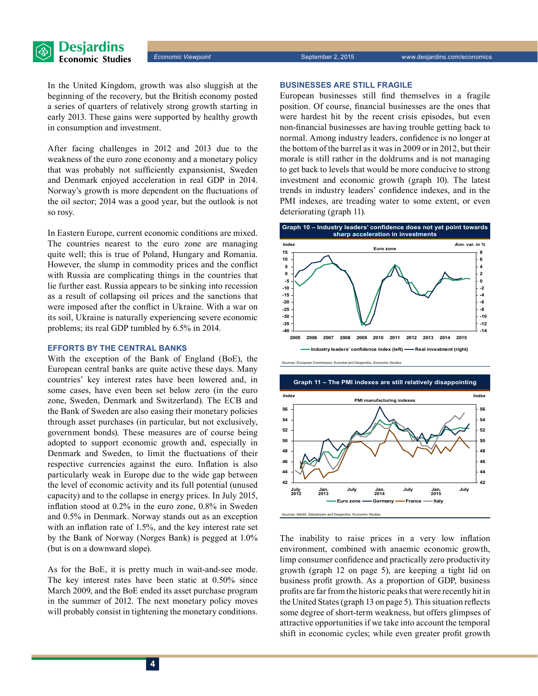In the United Kingdom, growth was also sluggish at the beginning of the recovery, but the British economy posted a series of quarters of relatively strong growth starting in early 2013. These gains were supported by healthy growth in consumption and investment.

After facing challenges in 2012 and 2013 due to the weakness of the euro zone economy and a monetary policy that was probably not sufficiently expansionist, Sweden and Denmark enjoyed acceleration in real GDP in 2014. Norway's growth is more dependent on the fluctuations of the oil sector; 2014 was a good year, but the outlook is not so rosy.

In Eastern Europe, current economic conditions are mixed. The countries nearest to the euro zone are managing quite well; this is true of Poland, Hungary and Romania. However, the slump in commodity prices and the conflict with Russia are complicating things in the countries that lie further east. Russia appears to be sinking into recession as a result of collapsing oil prices and the sanctions that were imposed after the conflict in Ukraine. With a war on its soil, Ukraine is naturally experiencing severe economic problems; its real GDP tumbled by 6.5% in 2014.

# **Efforts by the central banks**

With the exception of the Bank of England (BoE), the European central banks are quite active these days. Many countries' key interest rates have been lowered and, in some cases, have even been set below zero (in the euro zone, Sweden, Denmark and Switzerland). The ECB and the Bank of Sweden are also easing their monetary policies through asset purchases (in particular, but not exclusively, government bonds). These measures are of course being adopted to support economic growth and, especially in Denmark and Sweden, to limit the fluctuations of their respective currencies against the euro. Inflation is also particularly weak in Europe due to the wide gap between the level of economic activity and its full potential (unused capacity) and to the collapse in energy prices. In July 2015, inflation stood at 0.2% in the euro zone, 0.8% in Sweden and 0.5% in Denmark. Norway stands out as an exception with an inflation rate of 1.5%, and the key interest rate set by the Bank of Norway (Norges Bank) is pegged at 1.0% (but is on a downward slope).

As for the BoE, it is pretty much in wait-and-see mode. The key interest rates have been static at 0.50% since March 2009, and the BoE ended its asset purchase program in the summer of 2012. The next monetary policy moves will probably consist in tightening the monetary conditions.

## **Businesses are still fragile**

European businesses still find themselves in a fragile position. Of course, financial businesses are the ones that were hardest hit by the recent crisis episodes, but even non-financial businesses are having trouble getting back to normal. Among industry leaders, confidence is no longer at the bottom of the barrel as it was in 2009 or in 2012, but their morale is still rather in the doldrums and is not managing to get back to levels that would be more conducive to strong investment and economic growth (graph 10). The latest trends in industry leaders' confidence indexes, and in the PMI indexes, are treading water to some extent, or even deteriorating (graph 11).



sion, Eurostat and Desjardins, Economic Studies



The inability to raise prices in a very low inflation environment, combined with anaemic economic growth, limp consumer confidence and practically zero productivity growth (graph 12 on page 5), are keeping a tight lid on business profit growth. As a proportion of GDP, business profits are far from the historic peaks that were recently hit in the United States (graph 13 on page 5). This situation reflects some degree of short-term weakness, but offers glimpses of attractive opportunities if we take into account the temporal shift in economic cycles; while even greater profit growth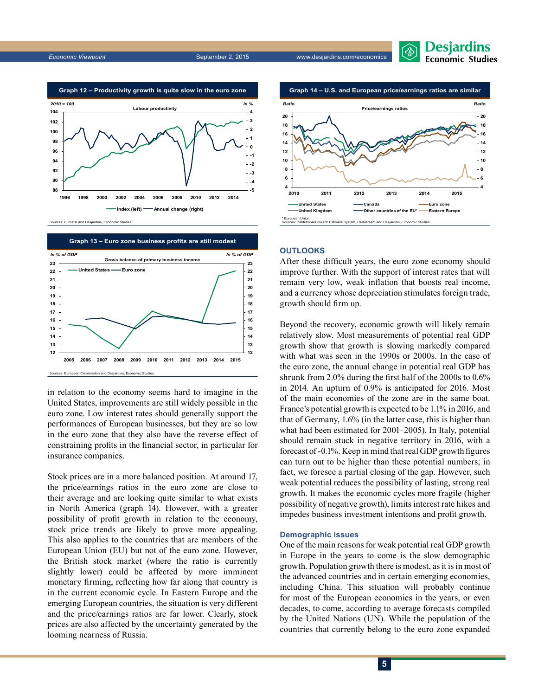*Economic Viewpoint* September 2, 2015 www.desjardins.com/economics





Sources: Eurostat and Desjardins, Economic Studies



in relation to the economy seems hard to imagine in the United States, improvements are still widely possible in the euro zone. Low interest rates should generally support the performances of European businesses, but they are so low in the euro zone that they also have the reverse effect of constraining profits in the financial sector, in particular for insurance companies.

Stock prices are in a more balanced position. At around 17, the price/earnings ratios in the euro zone are close to their average and are looking quite similar to what exists in North America (graph 14). However, with a greater possibility of profit growth in relation to the economy, stock price trends are likely to prove more appealing. This also applies to the countries that are members of the European Union (EU) but not of the euro zone. However, the British stock market (where the ratio is currently slightly lower) could be affected by more imminent monetary firming, reflecting how far along that country is in the current economic cycle. In Eastern Europe and the emerging European countries, the situation is very different and the price/earnings ratios are far lower. Clearly, stock prices are also affected by the uncertainty generated by the looming nearness of Russia.



# **Outlooks**

After these difficult years, the euro zone economy should improve further. With the support of interest rates that will remain very low, weak inflation that boosts real income, and a currency whose depreciation stimulates foreign trade, growth should firm up.

Beyond the recovery, economic growth will likely remain relatively slow. Most measurements of potential real GDP growth show that growth is slowing markedly compared with what was seen in the 1990s or 2000s. In the case of the euro zone, the annual change in potential real GDP has shrunk from 2.0% during the first half of the 2000s to 0.6% in 2014. An upturn of 0.9% is anticipated for 2016. Most of the main economies of the zone are in the same boat. France's potential growth is expected to be 1.1% in 2016, and that of Germany, 1.6% (in the latter case, this is higher than what had been estimated for 2001–2005). In Italy, potential should remain stuck in negative territory in 2016, with a forecast of -0.1%. Keep in mind that real GDP growth figures can turn out to be higher than these potential numbers; in fact, we foresee a partial closing of the gap. However, such weak potential reduces the possibility of lasting, strong real growth. It makes the economic cycles more fragile (higher possibility of negative growth), limits interest rate hikes and impedes business investment intentions and profit growth.

#### **Demographic issues**

One of the main reasons for weak potential real GDP growth in Europe in the years to come is the slow demographic growth. Population growth there is modest, as it is in most of the advanced countries and in certain emerging economies, including China. This situation will probably continue for most of the European economies in the years, or even decades, to come, according to average forecasts compiled by the United Nations (UN). While the population of the countries that currently belong to the euro zone expanded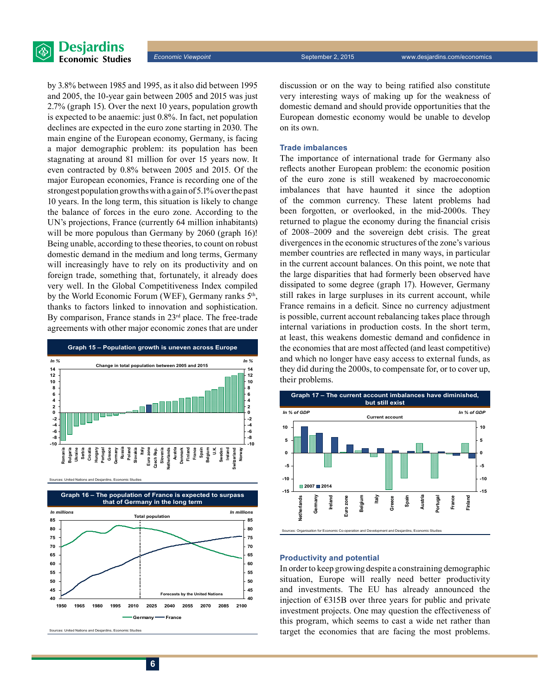

by 3.8% between 1985 and 1995, as it also did between 1995 and 2005, the 10‑year gain between 2005 and 2015 was just 2.7% (graph 15). Over the next 10 years, population growth is expected to be anaemic: just 0.8%. In fact, net population declines are expected in the euro zone starting in 2030. The main engine of the European economy, Germany, is facing a major demographic problem: its population has been stagnating at around 81 million for over 15 years now. It even contracted by 0.8% between 2005 and 2015. Of the major European economies, France is recording one of the strongest population growths with a gain of 5.1% over the past 10 years. In the long term, this situation is likely to change the balance of forces in the euro zone. According to the UN's projections, France (currently 64 million inhabitants) will be more populous than Germany by 2060 (graph 16)! Being unable, according to these theories, to count on robust domestic demand in the medium and long terms, Germany will increasingly have to rely on its productivity and on foreign trade, something that, fortunately, it already does very well. In the Global Competitiveness Index compiled by the World Economic Forum (WEF), Germany ranks  $5<sup>th</sup>$ , thanks to factors linked to innovation and sophistication. By comparison, France stands in 23<sup>rd</sup> place. The free-trade agreements with other major economic zones that are under



Sources: United Nations and Desjardins, Economic Studies



ed Nations and Desjardins, Economic S

discussion or on the way to being ratified also constitute very interesting ways of making up for the weakness of domestic demand and should provide opportunities that the European domestic economy would be unable to develop on its own.

#### **Trade imbalances**

The importance of international trade for Germany also reflects another European problem: the economic position of the euro zone is still weakened by macroeconomic imbalances that have haunted it since the adoption of the common currency. These latent problems had been forgotten, or overlooked, in the mid-2000s. They returned to plague the economy during the financial crisis of 2008–2009 and the sovereign debt crisis. The great divergences in the economic structures of the zone's various member countries are reflected in many ways, in particular in the current account balances. On this point, we note that the large disparities that had formerly been observed have dissipated to some degree (graph 17). However, Germany still rakes in large surpluses in its current account, while France remains in a deficit. Since no currency adjustment is possible, current account rebalancing takes place through internal variations in production costs. In the short term, at least, this weakens domestic demand and confidence in the economies that are most affected (and least competitive) and which no longer have easy access to external funds, as they did during the 2000s, to compensate for, or to cover up, their problems.



#### **Productivity and potential**

In order to keep growing despite a constraining demographic situation, Europe will really need better productivity and investments. The EU has already announced the injection of €315B over three years for public and private investment projects. One may question the effectiveness of this program, which seems to cast a wide net rather than target the economies that are facing the most problems.